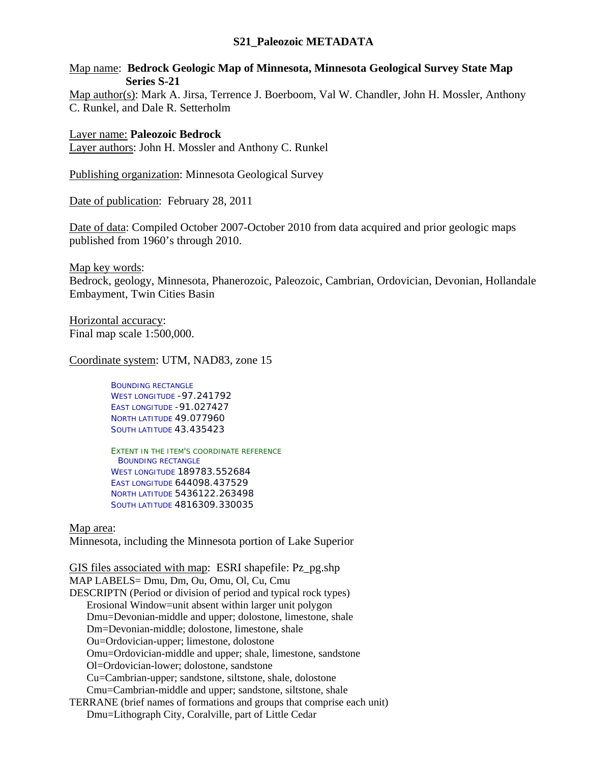## **S21\_Paleozoic METADATA**

Map name: **Bedrock Geologic Map of Minnesota, Minnesota Geological Survey State Map Series S-21** 

Map author(s): Mark A. Jirsa, Terrence J. Boerboom, Val W. Chandler, John H. Mossler, Anthony C. Runkel, and Dale R. Setterholm

Layer name: **Paleozoic Bedrock**  Layer authors: John H. Mossler and Anthony C. Runkel

Publishing organization: Minnesota Geological Survey

Date of publication: February 28, 2011

Date of data: Compiled October 2007-October 2010 from data acquired and prior geologic maps published from 1960's through 2010.

Map key words:

Bedrock, geology, Minnesota, Phanerozoic, Paleozoic, Cambrian, Ordovician, Devonian, Hollandale Embayment, Twin Cities Basin

Horizontal accuracy: Final map scale 1:500,000.

Coordinate system: UTM, NAD83, zone 15

BOUNDING RECTANGLE WEST LONGITUDE -97.241792 EAST LONGITUDE -91.027427 NORTH LATITUDE 49.077960 SOUTH LATITUDE 43.435423

EXTENT IN THE ITEM'S COORDINATE REFERENCE BOUNDING RECTANGLE WEST LONGITUDE 189783.552684 EAST LONGITUDE 644098.437529 NORTH LATITUDE 5436122.263498 SOUTH LATITUDE 4816309.330035

Map area:

Minnesota, including the Minnesota portion of Lake Superior

GIS files associated with map: ESRI shapefile: Pz\_pg.shp MAP LABELS= Dmu, Dm, Ou, Omu, Ol, Cu, Cmu DESCRIPTN (Period or division of period and typical rock types) Erosional Window=unit absent within larger unit polygon Dmu=Devonian-middle and upper; dolostone, limestone, shale Dm=Devonian-middle; dolostone, limestone, shale Ou=Ordovician-upper; limestone, dolostone Omu=Ordovician-middle and upper; shale, limestone, sandstone Ol=Ordovician-lower; dolostone, sandstone Cu=Cambrian-upper; sandstone, siltstone, shale, dolostone Cmu=Cambrian-middle and upper; sandstone, siltstone, shale TERRANE (brief names of formations and groups that comprise each unit) Dmu=Lithograph City, Coralville, part of Little Cedar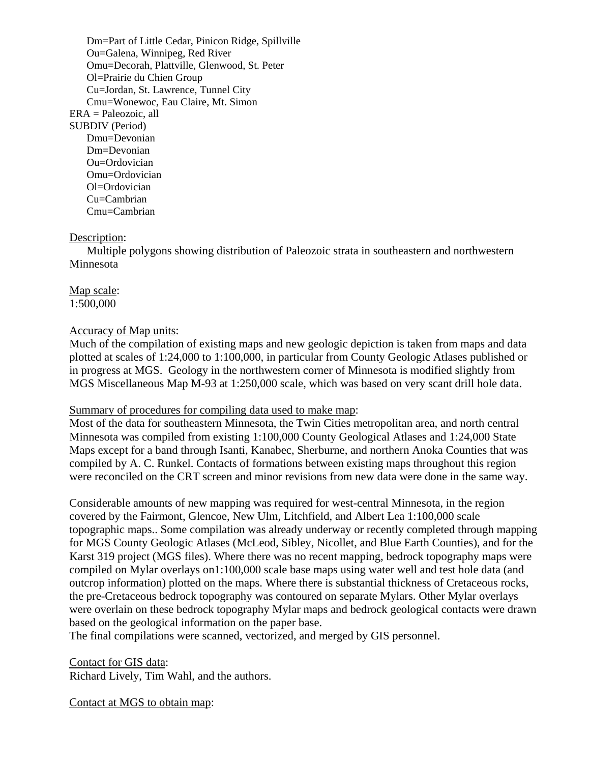Dm=Part of Little Cedar, Pinicon Ridge, Spillville Ou=Galena, Winnipeg, Red River Omu=Decorah, Plattville, Glenwood, St. Peter Ol=Prairie du Chien Group Cu=Jordan, St. Lawrence, Tunnel City Cmu=Wonewoc, Eau Claire, Mt. Simon ERA = Paleozoic, all SUBDIV (Period) Dmu=Devonian Dm=Devonian Ou=Ordovician Omu=Ordovician Ol=Ordovician Cu=Cambrian Cmu=Cambrian

## Description:

Multiple polygons showing distribution of Paleozoic strata in southeastern and northwestern Minnesota

Map scale: 1:500,000

## Accuracy of Map units:

Much of the compilation of existing maps and new geologic depiction is taken from maps and data plotted at scales of 1:24,000 to 1:100,000, in particular from County Geologic Atlases published or in progress at MGS. Geology in the northwestern corner of Minnesota is modified slightly from MGS Miscellaneous Map M-93 at 1:250,000 scale, which was based on very scant drill hole data.

## Summary of procedures for compiling data used to make map:

Most of the data for southeastern Minnesota, the Twin Cities metropolitan area, and north central Minnesota was compiled from existing 1:100,000 County Geological Atlases and 1:24,000 State Maps except for a band through Isanti, Kanabec, Sherburne, and northern Anoka Counties that was compiled by A. C. Runkel. Contacts of formations between existing maps throughout this region were reconciled on the CRT screen and minor revisions from new data were done in the same way.

Considerable amounts of new mapping was required for west-central Minnesota, in the region covered by the Fairmont, Glencoe, New Ulm, Litchfield, and Albert Lea 1:100,000 scale topographic maps.. Some compilation was already underway or recently completed through mapping for MGS County Geologic Atlases (McLeod, Sibley, Nicollet, and Blue Earth Counties), and for the Karst 319 project (MGS files). Where there was no recent mapping, bedrock topography maps were compiled on Mylar overlays on1:100,000 scale base maps using water well and test hole data (and outcrop information) plotted on the maps. Where there is substantial thickness of Cretaceous rocks, the pre-Cretaceous bedrock topography was contoured on separate Mylars. Other Mylar overlays were overlain on these bedrock topography Mylar maps and bedrock geological contacts were drawn based on the geological information on the paper base.

The final compilations were scanned, vectorized, and merged by GIS personnel.

Contact for GIS data:

Richard Lively, Tim Wahl, and the authors.

Contact at MGS to obtain map: